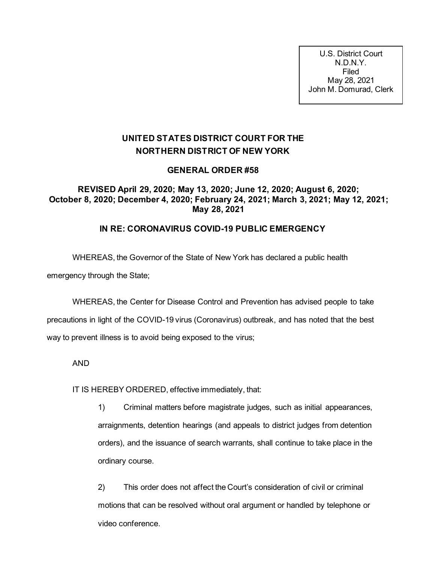U.S. District Court N.D.N.Y. Filed May 28, 2021 John M. Domurad, Clerk

## **UNITED STATES DISTRICT COURT FOR THE NORTHERN DISTRICT OF NEW YORK**

## **GENERAL ORDER #58**

## **REVISED April 29, 2020; May 13, 2020; June 12, 2020; August 6, 2020; October 8, 2020; December 4, 2020; February 24, 2021; March 3, 2021; May 12, 2021; May 28, 2021**

## **IN RE: CORONAVIRUS COVID-19 PUBLIC EMERGENCY**

WHEREAS, the Governor of the State of New York has declared a public health

emergency through the State;

WHEREAS, the Center for Disease Control and Prevention has advised people to take precautions in light of the COVID-19 virus (Coronavirus) outbreak, and has noted that the best way to prevent illness is to avoid being exposed to the virus;

AND

IT IS HEREBY ORDERED, effective immediately, that:

1) Criminal matters before magistrate judges, such as initial appearances, arraignments, detention hearings (and appeals to district judges from detention orders), and the issuance of search warrants, shall continue to take place in the ordinary course.

2) This order does not affect the Court's consideration of civil or criminal motions that can be resolved without oral argument or handled by telephone or video conference.